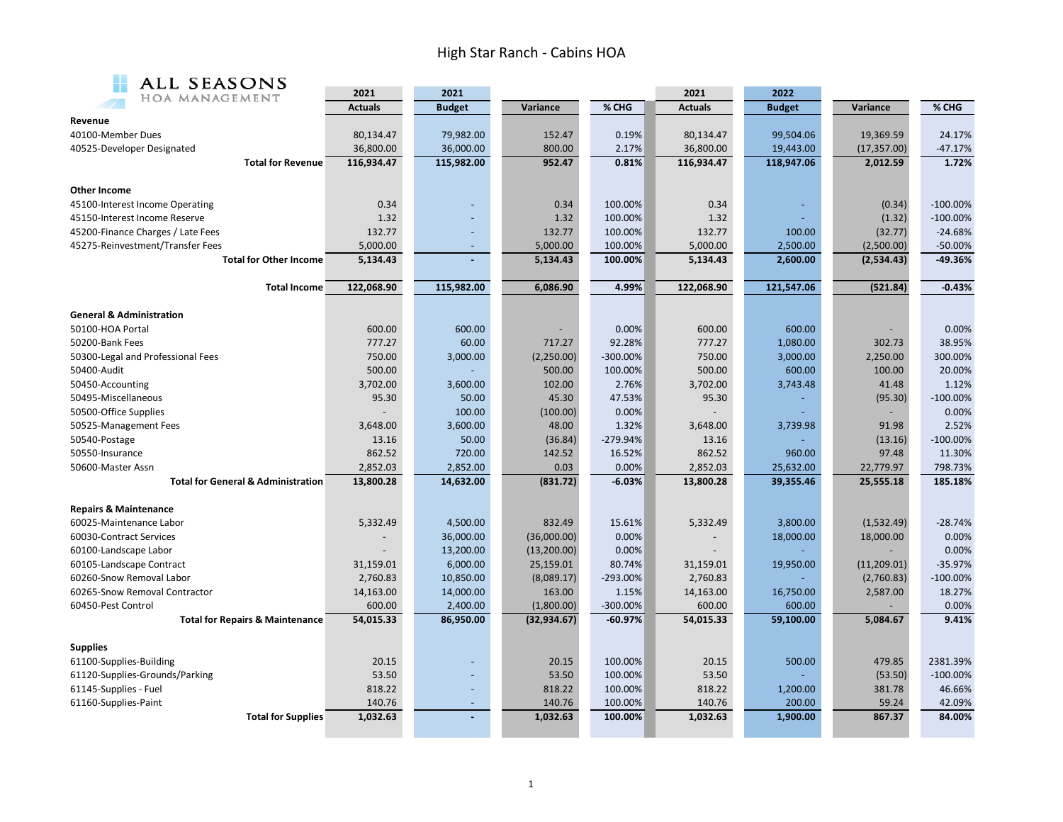## High Star Ranch ‐ Cabins HOA



| ALL SEASUNS                                   |                |               |              |             |                |               |              |             |
|-----------------------------------------------|----------------|---------------|--------------|-------------|----------------|---------------|--------------|-------------|
| HOA MANAGEMENT                                | 2021           | 2021          |              |             | 2021           | 2022          |              | % CHG       |
|                                               | <b>Actuals</b> | <b>Budget</b> | Variance     | % CHG       | <b>Actuals</b> | <b>Budget</b> | Variance     |             |
| Revenue                                       |                |               |              |             |                |               |              |             |
| 40100-Member Dues                             | 80,134.47      | 79,982.00     | 152.47       | 0.19%       | 80,134.47      | 99,504.06     | 19,369.59    | 24.17%      |
| 40525-Developer Designated                    | 36,800.00      | 36,000.00     | 800.00       | 2.17%       | 36,800.00      | 19,443.00     | (17, 357.00) | $-47.17%$   |
| <b>Total for Revenue</b>                      | 116,934.47     | 115,982.00    | 952.47       | 0.81%       | 116,934.47     | 118,947.06    | 2,012.59     | 1.72%       |
|                                               |                |               |              |             |                |               |              |             |
| <b>Other Income</b>                           |                |               |              |             |                |               |              |             |
| 45100-Interest Income Operating               | 0.34           |               | 0.34         | 100.00%     | 0.34           |               | (0.34)       | $-100.00%$  |
| 45150-Interest Income Reserve                 | 1.32           |               | 1.32         | 100.00%     | 1.32           |               | (1.32)       | $-100.00\%$ |
| 45200-Finance Charges / Late Fees             | 132.77         |               | 132.77       | 100.00%     | 132.77         | 100.00        | (32.77)      | $-24.68%$   |
| 45275-Reinvestment/Transfer Fees              | 5,000.00       | $\sim$        | 5,000.00     | 100.00%     | 5,000.00       | 2,500.00      | (2,500.00)   | $-50.00%$   |
| <b>Total for Other Income</b>                 | 5,134.43       |               | 5,134.43     | 100.00%     | 5,134.43       | 2,600.00      | (2,534.43)   | -49.36%     |
| <b>Total Income</b>                           | 122,068.90     | 115,982.00    | 6,086.90     | 4.99%       | 122,068.90     | 121,547.06    | (521.84)     | $-0.43%$    |
|                                               |                |               |              |             |                |               |              |             |
| <b>General &amp; Administration</b>           |                |               |              |             |                |               |              |             |
| 50100-HOA Portal                              | 600.00         | 600.00        |              | 0.00%       | 600.00         | 600.00        |              | 0.00%       |
| 50200-Bank Fees                               | 777.27         | 60.00         | 717.27       | 92.28%      | 777.27         | 1,080.00      | 302.73       | 38.95%      |
| 50300-Legal and Professional Fees             | 750.00         | 3,000.00      | (2,250.00)   | $-300.00%$  | 750.00         | 3,000.00      | 2,250.00     | 300.00%     |
| 50400-Audit                                   | 500.00         |               | 500.00       | 100.00%     | 500.00         | 600.00        | 100.00       | 20.00%      |
| 50450-Accounting                              | 3,702.00       | 3,600.00      | 102.00       | 2.76%       | 3,702.00       | 3,743.48      | 41.48        | 1.12%       |
| 50495-Miscellaneous                           | 95.30          | 50.00         | 45.30        | 47.53%      | 95.30          |               | (95.30)      | $-100.00%$  |
| 50500-Office Supplies                         |                | 100.00        | (100.00)     | 0.00%       |                |               |              | 0.00%       |
| 50525-Management Fees                         | 3,648.00       | 3,600.00      | 48.00        | 1.32%       | 3,648.00       | 3,739.98      | 91.98        | 2.52%       |
| 50540-Postage                                 | 13.16          | 50.00         | (36.84)      | $-279.94%$  | 13.16          |               | (13.16)      | $-100.00%$  |
| 50550-Insurance                               | 862.52         | 720.00        | 142.52       | 16.52%      | 862.52         | 960.00        | 97.48        | 11.30%      |
| 50600-Master Assn                             | 2,852.03       | 2,852.00      | 0.03         | 0.00%       | 2,852.03       | 25,632.00     | 22,779.97    | 798.73%     |
| <b>Total for General &amp; Administration</b> | 13,800.28      | 14,632.00     | (831.72)     | $-6.03%$    | 13,800.28      | 39,355.46     | 25,555.18    | 185.18%     |
| <b>Repairs &amp; Maintenance</b>              |                |               |              |             |                |               |              |             |
| 60025-Maintenance Labor                       | 5,332.49       | 4,500.00      | 832.49       | 15.61%      | 5,332.49       | 3,800.00      | (1,532.49)   | $-28.74%$   |
| 60030-Contract Services                       |                | 36,000.00     | (36,000.00)  | 0.00%       |                | 18,000.00     | 18,000.00    | 0.00%       |
| 60100-Landscape Labor                         |                | 13,200.00     | (13, 200.00) | 0.00%       |                |               |              | 0.00%       |
| 60105-Landscape Contract                      | 31,159.01      | 6,000.00      | 25,159.01    | 80.74%      | 31,159.01      | 19,950.00     | (11, 209.01) | $-35.97%$   |
| 60260-Snow Removal Labor                      | 2,760.83       | 10,850.00     | (8,089.17)   | $-293.00\%$ | 2,760.83       |               | (2,760.83)   | $-100.00\%$ |
| 60265-Snow Removal Contractor                 | 14,163.00      | 14,000.00     | 163.00       | 1.15%       | 14,163.00      | 16,750.00     | 2,587.00     | 18.27%      |
| 60450-Pest Control                            | 600.00         | 2,400.00      | (1,800.00)   | -300.00%    | 600.00         | 600.00        |              | 0.00%       |
| <b>Total for Repairs &amp; Maintenance</b>    | 54,015.33      | 86,950.00     | (32, 934.67) | $-60.97%$   | 54,015.33      | 59,100.00     | 5,084.67     | 9.41%       |
| <b>Supplies</b>                               |                |               |              |             |                |               |              |             |
| 61100-Supplies-Building                       | 20.15          |               | 20.15        | 100.00%     | 20.15          | 500.00        | 479.85       | 2381.39%    |
| 61120-Supplies-Grounds/Parking                | 53.50          |               | 53.50        | 100.00%     | 53.50          |               | (53.50)      | $-100.00\%$ |
| 61145-Supplies - Fuel                         | 818.22         | $\sim$        | 818.22       | 100.00%     | 818.22         | 1,200.00      | 381.78       | 46.66%      |
| 61160-Supplies-Paint                          | 140.76         |               | 140.76       | 100.00%     | 140.76         | 200.00        | 59.24        | 42.09%      |
| <b>Total for Supplies</b>                     | 1,032.63       |               | 1,032.63     | 100.00%     | 1,032.63       | 1,900.00      | 867.37       | 84.00%      |
|                                               |                |               |              |             |                |               |              |             |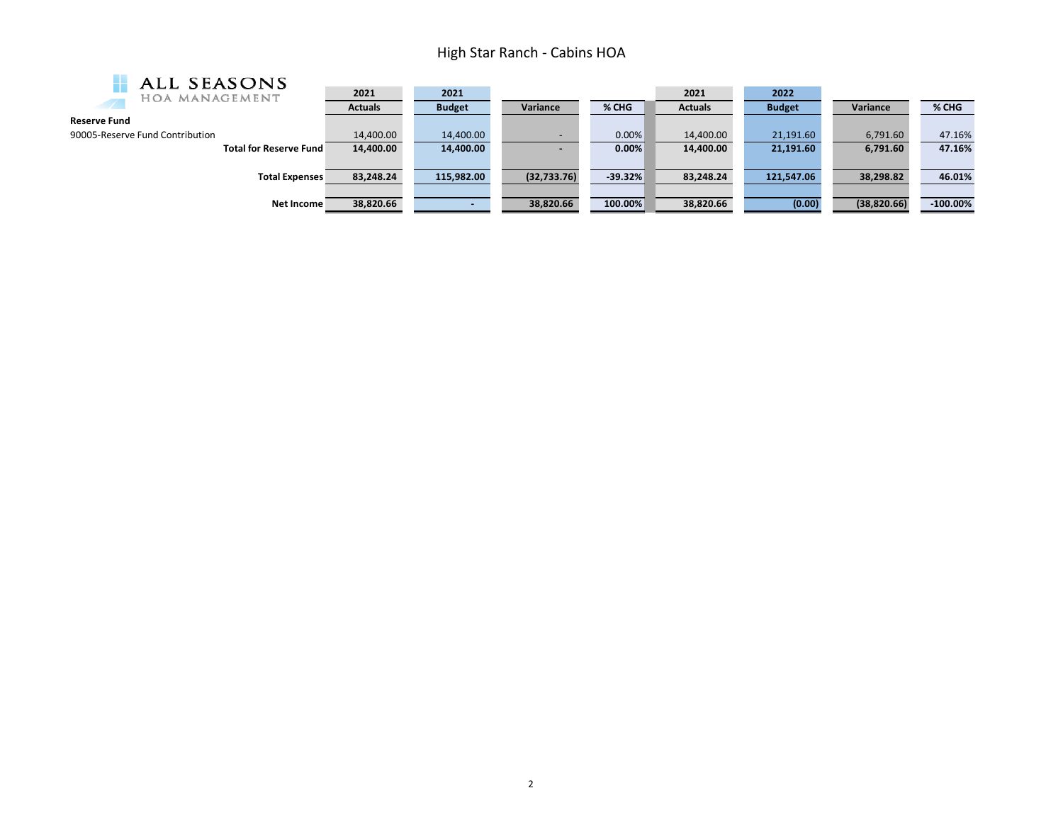## High Star Ranch ‐ Cabins HOA

| ALL SEASONS                     |                |               |              |           |                |               |              |             |
|---------------------------------|----------------|---------------|--------------|-----------|----------------|---------------|--------------|-------------|
| HOA MANAGEMENT                  | 2021           | 2021          |              |           | 2021           | 2022          |              |             |
|                                 | <b>Actuals</b> | <b>Budget</b> | Variance     | % CHG     | <b>Actuals</b> | <b>Budget</b> | Variance     | % CHG       |
| <b>Reserve Fund</b>             |                |               |              |           |                |               |              |             |
| 90005-Reserve Fund Contribution | 14,400.00      | 14,400.00     |              | 0.00%     | 14,400.00      | 21,191.60     | 6,791.60     | 47.16%      |
| <b>Total for Reserve Fund</b>   | 14,400.00      | 14,400.00     | $\sim$       | 0.00%     | 14,400.00      | 21,191.60     | 6,791.60     | 47.16%      |
|                                 |                |               |              |           |                |               |              |             |
| <b>Total Expenses</b>           | 83,248.24      | 115,982.00    | (32, 733.76) | $-39.32%$ | 83,248.24      | 121,547.06    | 38,298.82    | 46.01%      |
|                                 |                |               |              |           |                |               |              |             |
| Net Income                      | 38,820.66      |               | 38,820.66    | 100.00%   | 38,820.66      | (0.00)        | (38, 820.66) | $-100.00\%$ |
|                                 |                |               |              |           |                |               |              |             |